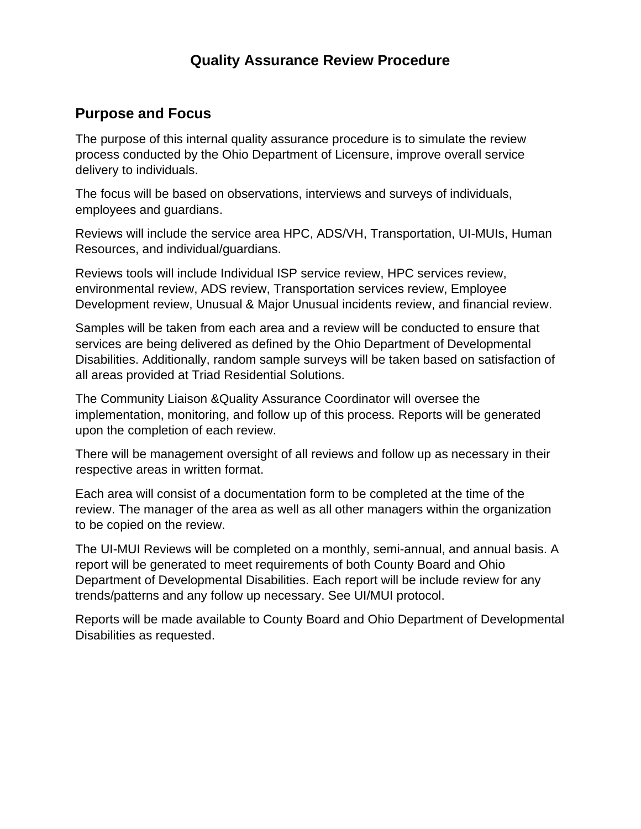# **Quality Assurance Review Procedure**

## **Purpose and Focus**

The purpose of this internal quality assurance procedure is to simulate the review process conducted by the Ohio Department of Licensure, improve overall service delivery to individuals.

The focus will be based on observations, interviews and surveys of individuals, employees and guardians.

Reviews will include the service area HPC, ADS/VH, Transportation, UI-MUIs, Human Resources, and individual/guardians.

Reviews tools will include Individual ISP service review, HPC services review, environmental review, ADS review, Transportation services review, Employee Development review, Unusual & Major Unusual incidents review, and financial review.

Samples will be taken from each area and a review will be conducted to ensure that services are being delivered as defined by the Ohio Department of Developmental Disabilities. Additionally, random sample surveys will be taken based on satisfaction of all areas provided at Triad Residential Solutions.

The Community Liaison &Quality Assurance Coordinator will oversee the implementation, monitoring, and follow up of this process. Reports will be generated upon the completion of each review.

There will be management oversight of all reviews and follow up as necessary in their respective areas in written format.

Each area will consist of a documentation form to be completed at the time of the review. The manager of the area as well as all other managers within the organization to be copied on the review.

The UI-MUI Reviews will be completed on a monthly, semi-annual, and annual basis. A report will be generated to meet requirements of both County Board and Ohio Department of Developmental Disabilities. Each report will be include review for any trends/patterns and any follow up necessary. See UI/MUI protocol.

Reports will be made available to County Board and Ohio Department of Developmental Disabilities as requested.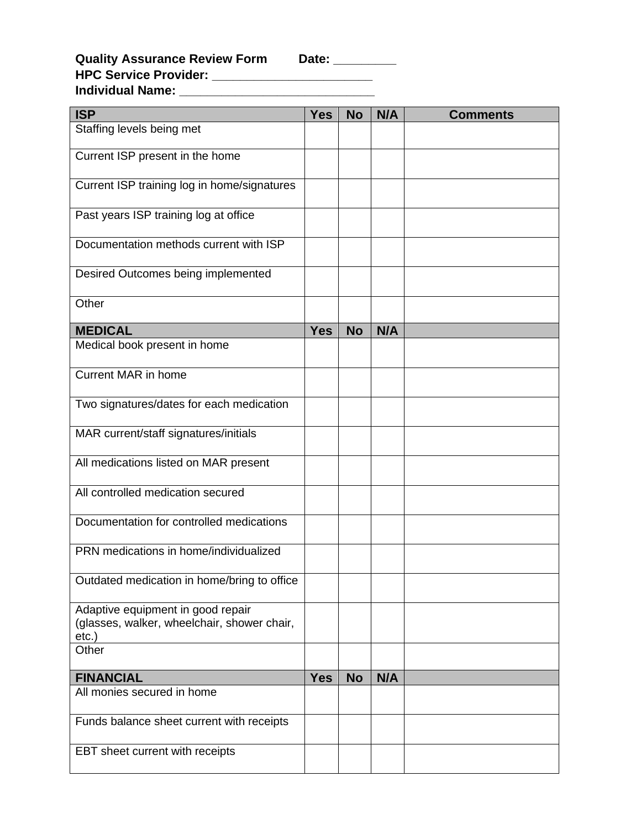| <b>ISP</b>                                                                                   | <b>Yes</b> | <b>No</b> | N/A | <b>Comments</b> |
|----------------------------------------------------------------------------------------------|------------|-----------|-----|-----------------|
| Staffing levels being met                                                                    |            |           |     |                 |
| Current ISP present in the home                                                              |            |           |     |                 |
| Current ISP training log in home/signatures                                                  |            |           |     |                 |
| Past years ISP training log at office                                                        |            |           |     |                 |
| Documentation methods current with ISP                                                       |            |           |     |                 |
| Desired Outcomes being implemented                                                           |            |           |     |                 |
| Other                                                                                        |            |           |     |                 |
| <b>MEDICAL</b>                                                                               | <b>Yes</b> | <b>No</b> | N/A |                 |
| Medical book present in home                                                                 |            |           |     |                 |
| <b>Current MAR in home</b>                                                                   |            |           |     |                 |
| Two signatures/dates for each medication                                                     |            |           |     |                 |
| MAR current/staff signatures/initials                                                        |            |           |     |                 |
| All medications listed on MAR present                                                        |            |           |     |                 |
| All controlled medication secured                                                            |            |           |     |                 |
| Documentation for controlled medications                                                     |            |           |     |                 |
| PRN medications in home/individualized                                                       |            |           |     |                 |
| Outdated medication in home/bring to office                                                  |            |           |     |                 |
| Adaptive equipment in good repair<br>(glasses, walker, wheelchair, shower chair,<br>$etc.$ ) |            |           |     |                 |
| Other                                                                                        |            |           |     |                 |
| <b>FINANCIAL</b>                                                                             | <b>Yes</b> | <b>No</b> | N/A |                 |
| All monies secured in home                                                                   |            |           |     |                 |
| Funds balance sheet current with receipts                                                    |            |           |     |                 |
| EBT sheet current with receipts                                                              |            |           |     |                 |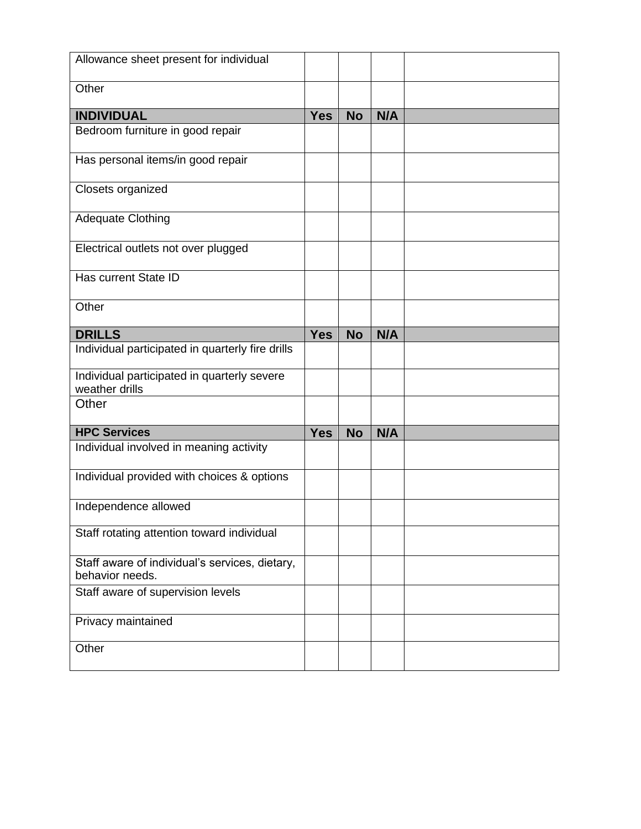| Allowance sheet present for individual                            |            |           |     |  |
|-------------------------------------------------------------------|------------|-----------|-----|--|
| Other                                                             |            |           |     |  |
| <b>INDIVIDUAL</b>                                                 | <b>Yes</b> | <b>No</b> | N/A |  |
| Bedroom furniture in good repair                                  |            |           |     |  |
| Has personal items/in good repair                                 |            |           |     |  |
| Closets organized                                                 |            |           |     |  |
| <b>Adequate Clothing</b>                                          |            |           |     |  |
| Electrical outlets not over plugged                               |            |           |     |  |
| Has current State ID                                              |            |           |     |  |
| Other                                                             |            |           |     |  |
| <b>DRILLS</b>                                                     | <b>Yes</b> | <b>No</b> | N/A |  |
| Individual participated in quarterly fire drills                  |            |           |     |  |
| Individual participated in quarterly severe<br>weather drills     |            |           |     |  |
| Other                                                             |            |           |     |  |
| <b>HPC Services</b>                                               | <b>Yes</b> | <b>No</b> | N/A |  |
| Individual involved in meaning activity                           |            |           |     |  |
| Individual provided with choices & options                        |            |           |     |  |
| Independence allowed                                              |            |           |     |  |
| Staff rotating attention toward individual                        |            |           |     |  |
| Staff aware of individual's services, dietary,<br>behavior needs. |            |           |     |  |
| Staff aware of supervision levels                                 |            |           |     |  |
| Privacy maintained                                                |            |           |     |  |
| Other                                                             |            |           |     |  |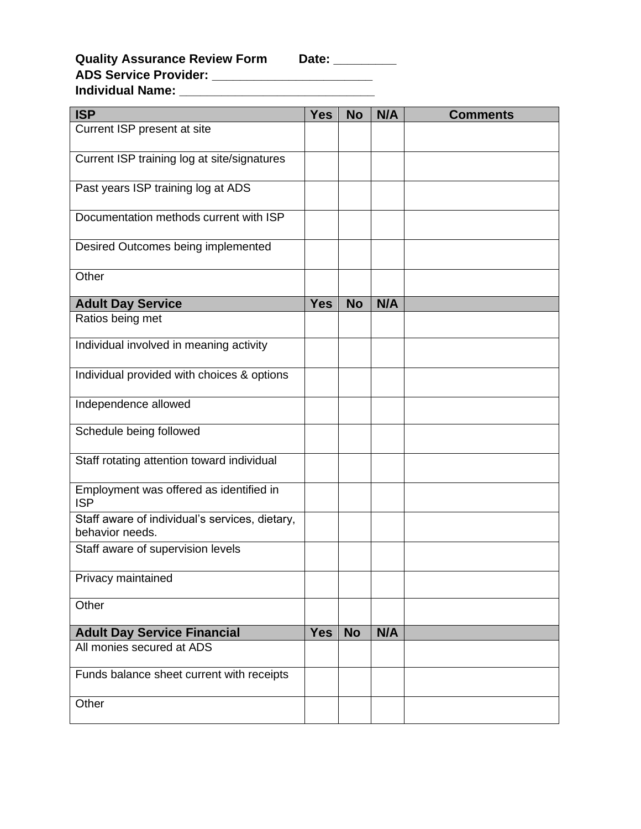## **Quality Assurance Review Form Date: \_\_\_\_\_\_\_\_\_ ADS Service Provider: \_\_\_\_\_\_\_\_\_\_\_\_\_\_\_\_\_\_\_\_\_\_\_ Individual Name: \_\_\_\_\_\_\_\_\_\_\_\_\_\_\_\_\_\_\_\_\_\_\_\_\_\_\_\_**

| <b>ISP</b>                                                        | <b>Yes</b> | <b>No</b> | N/A | <b>Comments</b> |
|-------------------------------------------------------------------|------------|-----------|-----|-----------------|
| Current ISP present at site                                       |            |           |     |                 |
| Current ISP training log at site/signatures                       |            |           |     |                 |
| Past years ISP training log at ADS                                |            |           |     |                 |
| Documentation methods current with ISP                            |            |           |     |                 |
| Desired Outcomes being implemented                                |            |           |     |                 |
| Other                                                             |            |           |     |                 |
| <b>Adult Day Service</b>                                          | <b>Yes</b> | <b>No</b> | N/A |                 |
| Ratios being met                                                  |            |           |     |                 |
| Individual involved in meaning activity                           |            |           |     |                 |
| Individual provided with choices & options                        |            |           |     |                 |
| Independence allowed                                              |            |           |     |                 |
| Schedule being followed                                           |            |           |     |                 |
| Staff rotating attention toward individual                        |            |           |     |                 |
| Employment was offered as identified in<br><b>ISP</b>             |            |           |     |                 |
| Staff aware of individual's services, dietary,<br>behavior needs. |            |           |     |                 |
| Staff aware of supervision levels                                 |            |           |     |                 |
| Privacy maintained                                                |            |           |     |                 |
| Other                                                             |            |           |     |                 |
| <b>Adult Day Service Financial</b>                                | <b>Yes</b> | <b>No</b> | N/A |                 |
| All monies secured at ADS                                         |            |           |     |                 |
| Funds balance sheet current with receipts                         |            |           |     |                 |
| Other                                                             |            |           |     |                 |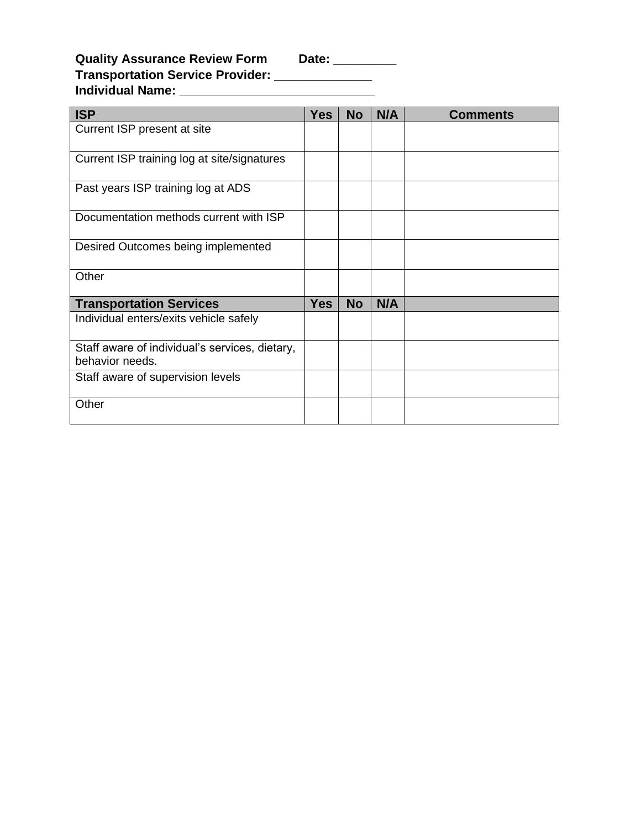Date: \_\_\_\_\_\_\_\_\_\_

| <b>Quality Assurance Review Form</b>    | Date: |
|-----------------------------------------|-------|
| <b>Transportation Service Provider:</b> |       |
| <b>Individual Name:</b>                 |       |

| <b>ISP</b>                                                        | <b>Yes</b> | <b>No</b> | N/A | <b>Comments</b> |
|-------------------------------------------------------------------|------------|-----------|-----|-----------------|
| Current ISP present at site                                       |            |           |     |                 |
| Current ISP training log at site/signatures                       |            |           |     |                 |
| Past years ISP training log at ADS                                |            |           |     |                 |
| Documentation methods current with ISP                            |            |           |     |                 |
| Desired Outcomes being implemented                                |            |           |     |                 |
| Other                                                             |            |           |     |                 |
| <b>Transportation Services</b>                                    | <b>Yes</b> | <b>No</b> | N/A |                 |
| Individual enters/exits vehicle safely                            |            |           |     |                 |
| Staff aware of individual's services, dietary,<br>behavior needs. |            |           |     |                 |
| Staff aware of supervision levels                                 |            |           |     |                 |
| Other                                                             |            |           |     |                 |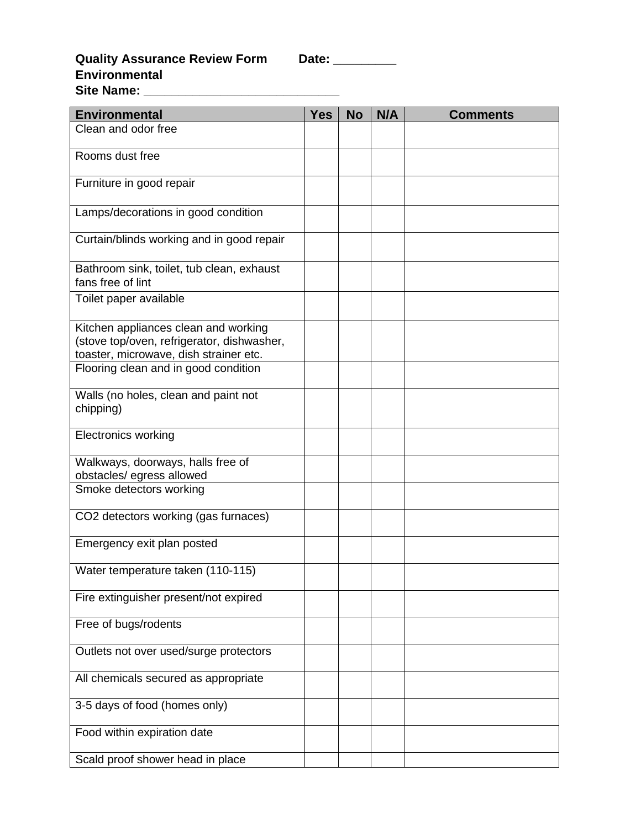| Jate <sup>-</sup><br>៶∎ |  |
|-------------------------|--|
|                         |  |

#### **Quality Assurance Review Form Date: \_\_\_\_\_\_\_\_\_ Environmental Site Name: \_\_\_\_\_\_\_\_\_\_\_\_\_\_\_\_\_\_\_\_\_\_\_\_\_\_\_\_**

| <b>Environmental</b>                                                                                                         | <b>Yes</b> | <b>No</b> | N/A | <b>Comments</b> |
|------------------------------------------------------------------------------------------------------------------------------|------------|-----------|-----|-----------------|
| Clean and odor free                                                                                                          |            |           |     |                 |
| Rooms dust free                                                                                                              |            |           |     |                 |
| Furniture in good repair                                                                                                     |            |           |     |                 |
| Lamps/decorations in good condition                                                                                          |            |           |     |                 |
| Curtain/blinds working and in good repair                                                                                    |            |           |     |                 |
| Bathroom sink, toilet, tub clean, exhaust<br>fans free of lint                                                               |            |           |     |                 |
| Toilet paper available                                                                                                       |            |           |     |                 |
| Kitchen appliances clean and working<br>(stove top/oven, refrigerator, dishwasher,<br>toaster, microwave, dish strainer etc. |            |           |     |                 |
| Flooring clean and in good condition                                                                                         |            |           |     |                 |
| Walls (no holes, clean and paint not<br>chipping)                                                                            |            |           |     |                 |
| <b>Electronics working</b>                                                                                                   |            |           |     |                 |
| Walkways, doorways, halls free of<br>obstacles/ egress allowed                                                               |            |           |     |                 |
| Smoke detectors working                                                                                                      |            |           |     |                 |
| CO2 detectors working (gas furnaces)                                                                                         |            |           |     |                 |
| Emergency exit plan posted                                                                                                   |            |           |     |                 |
| Water temperature taken (110-115)                                                                                            |            |           |     |                 |
| Fire extinguisher present/not expired                                                                                        |            |           |     |                 |
| Free of bugs/rodents                                                                                                         |            |           |     |                 |
| Outlets not over used/surge protectors                                                                                       |            |           |     |                 |
| All chemicals secured as appropriate                                                                                         |            |           |     |                 |
| 3-5 days of food (homes only)                                                                                                |            |           |     |                 |
| Food within expiration date                                                                                                  |            |           |     |                 |
| Scald proof shower head in place                                                                                             |            |           |     |                 |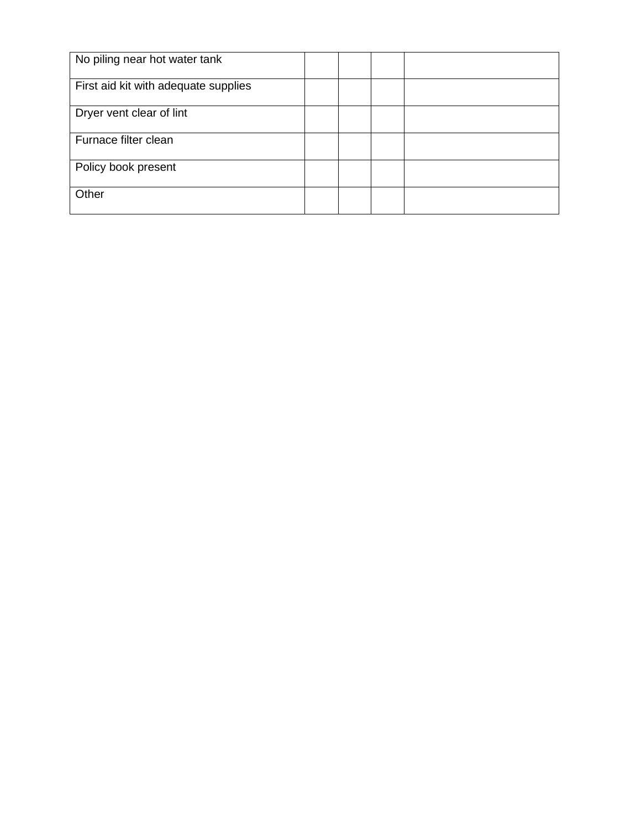| No piling near hot water tank        |  |  |
|--------------------------------------|--|--|
| First aid kit with adequate supplies |  |  |
| Dryer vent clear of lint             |  |  |
| Furnace filter clean                 |  |  |
| Policy book present                  |  |  |
| Other                                |  |  |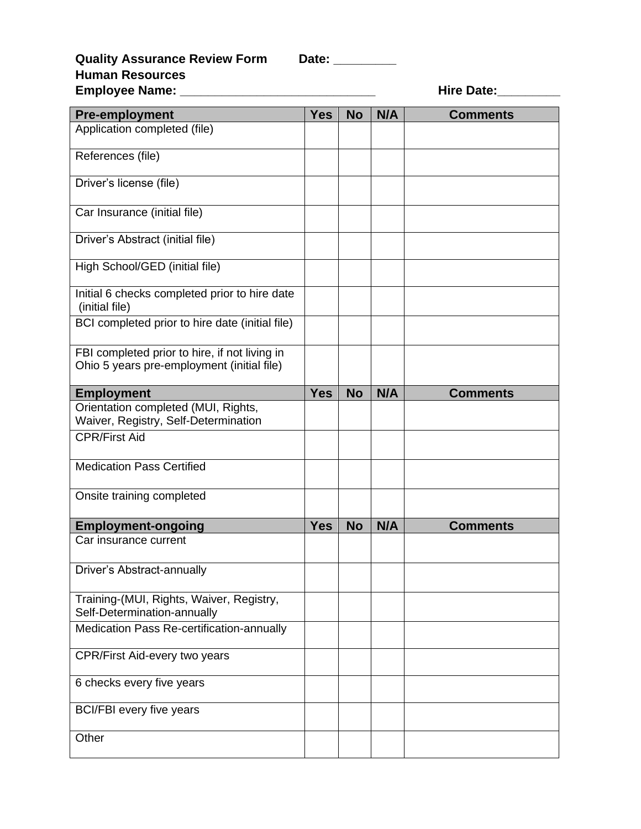| Date: |
|-------|
|-------|

# **Quality Assurance Review Form Date: Human Resources**

| Employee Name: _____                                                                        |            |           |     | <b>Hire Date:</b> |
|---------------------------------------------------------------------------------------------|------------|-----------|-----|-------------------|
| <b>Pre-employment</b>                                                                       | <b>Yes</b> | <b>No</b> | N/A | <b>Comments</b>   |
| Application completed (file)                                                                |            |           |     |                   |
| References (file)                                                                           |            |           |     |                   |
| Driver's license (file)                                                                     |            |           |     |                   |
| Car Insurance (initial file)                                                                |            |           |     |                   |
| Driver's Abstract (initial file)                                                            |            |           |     |                   |
| High School/GED (initial file)                                                              |            |           |     |                   |
| Initial 6 checks completed prior to hire date<br>(initial file)                             |            |           |     |                   |
| BCI completed prior to hire date (initial file)                                             |            |           |     |                   |
| FBI completed prior to hire, if not living in<br>Ohio 5 years pre-employment (initial file) |            |           |     |                   |
| <b>Employment</b>                                                                           | <b>Yes</b> | <b>No</b> | N/A | <b>Comments</b>   |
| Orientation completed (MUI, Rights,<br>Waiver, Registry, Self-Determination                 |            |           |     |                   |
| <b>CPR/First Aid</b>                                                                        |            |           |     |                   |
| <b>Medication Pass Certified</b>                                                            |            |           |     |                   |
| Onsite training completed                                                                   |            |           |     |                   |
| <b>Employment-ongoing</b>                                                                   | <b>Yes</b> | <b>No</b> | N/A | <b>Comments</b>   |
| Car insurance current                                                                       |            |           |     |                   |
| Driver's Abstract-annually                                                                  |            |           |     |                   |
| Training-(MUI, Rights, Waiver, Registry,<br>Self-Determination-annually                     |            |           |     |                   |
| Medication Pass Re-certification-annually                                                   |            |           |     |                   |
| <b>CPR/First Aid-every two years</b>                                                        |            |           |     |                   |
| 6 checks every five years                                                                   |            |           |     |                   |
| <b>BCI/FBI</b> every five years                                                             |            |           |     |                   |
| Other                                                                                       |            |           |     |                   |